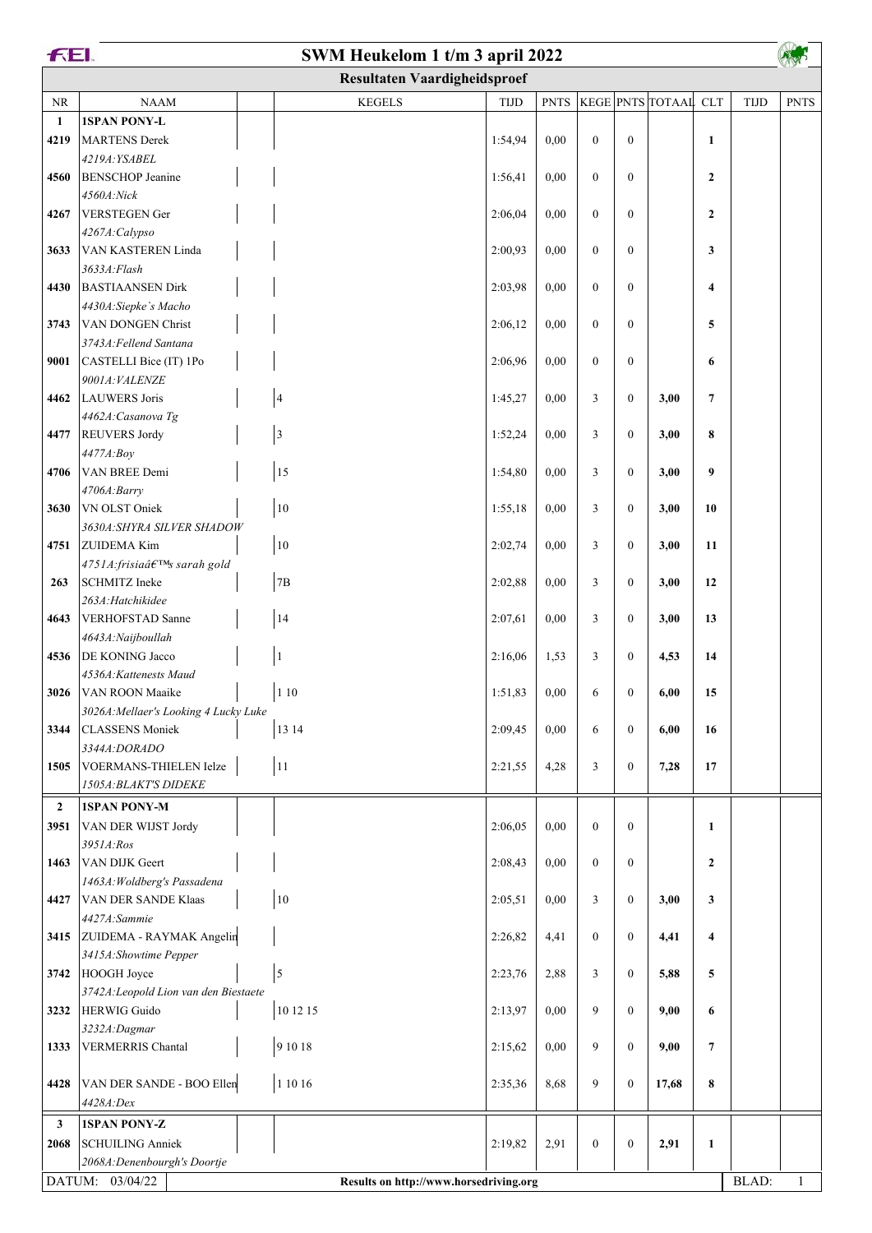| FEI.<br>SWM Heukelom 1 t/m 3 april 2022 |                                                  |  |                                        |             |             |              |                  |                      |                         |             |              |
|-----------------------------------------|--------------------------------------------------|--|----------------------------------------|-------------|-------------|--------------|------------------|----------------------|-------------------------|-------------|--------------|
| <b>Resultaten Vaardigheidsproef</b>     |                                                  |  |                                        |             |             |              |                  |                      |                         |             |              |
| NR                                      | NAAM                                             |  | <b>KEGELS</b>                          | <b>TIJD</b> | <b>PNTS</b> |              |                  | KEGE PNTS TOTAAL CLT |                         | <b>TIJD</b> | <b>PNTS</b>  |
| $\mathbf{1}$                            | 1SPAN PONY-L                                     |  |                                        |             |             |              |                  |                      |                         |             |              |
| 4219                                    | MARTENS Derek                                    |  |                                        | 1:54,94     | 0.00        | $\mathbf{0}$ | $\mathbf{0}$     |                      | $\mathbf{1}$            |             |              |
|                                         | 4219A: YSABEL                                    |  |                                        |             |             |              |                  |                      |                         |             |              |
| 4560                                    | <b>BENSCHOP</b> Jeanine                          |  |                                        | 1:56,41     | 0,00        | $\mathbf{0}$ | $\boldsymbol{0}$ |                      | $\boldsymbol{2}$        |             |              |
|                                         | 4560A:Nick                                       |  |                                        |             |             |              |                  |                      |                         |             |              |
| 4267                                    | <b>VERSTEGEN Ger</b>                             |  |                                        | 2:06,04     | 0,00        | $\mathbf{0}$ | $\mathbf{0}$     |                      | $\overline{2}$          |             |              |
| 3633                                    | 4267A: Calypso<br>VAN KASTEREN Linda             |  |                                        | 2:00,93     | 0,00        | $\mathbf{0}$ | $\mathbf{0}$     |                      | 3                       |             |              |
|                                         | 3633A:Flash                                      |  |                                        |             |             |              |                  |                      |                         |             |              |
| 4430                                    | <b>BASTIAANSEN Dirk</b>                          |  |                                        | 2:03,98     | 0.00        | $\mathbf{0}$ | $\mathbf{0}$     |                      | 4                       |             |              |
|                                         | 4430A: Siepke's Macho                            |  |                                        |             |             |              |                  |                      |                         |             |              |
| 3743                                    | VAN DONGEN Christ                                |  |                                        | 2:06,12     | 0,00        | $\mathbf{0}$ | $\mathbf{0}$     |                      | 5                       |             |              |
|                                         | 3743A: Fellend Santana                           |  |                                        |             |             |              |                  |                      |                         |             |              |
| 9001                                    | CASTELLI Bice (IT) 1Po                           |  |                                        | 2:06,96     | 0,00        | $\mathbf{0}$ | $\boldsymbol{0}$ |                      | 6                       |             |              |
|                                         | 9001A: VALENZE                                   |  |                                        |             |             |              |                  |                      |                         |             |              |
| 4462                                    | LAUWERS Joris                                    |  | $\overline{\mathcal{L}}$               | 1:45,27     | 0,00        | 3            | $\boldsymbol{0}$ | 3,00                 | $\overline{7}$          |             |              |
|                                         | 4462A: Casanova Tg                               |  |                                        |             |             |              |                  |                      |                         |             |              |
| 4477                                    | <b>REUVERS Jordy</b>                             |  | $\overline{\mathbf{3}}$                | 1:52,24     | 0,00        | 3            | $\mathbf{0}$     | 3,00                 | 8                       |             |              |
| 4706                                    | 4477A:Bov<br>VAN BREE Demi                       |  | 15                                     | 1:54,80     | 0.00        | 3            | $\mathbf{0}$     | 3,00                 | 9                       |             |              |
|                                         | 4706A:Barry                                      |  |                                        |             |             |              |                  |                      |                         |             |              |
| 3630                                    | VN OLST Oniek                                    |  | 10                                     | 1:55,18     | 0,00        | 3            | $\mathbf{0}$     | 3,00                 | 10                      |             |              |
|                                         | 3630A: SHYRA SILVER SHADOW                       |  |                                        |             |             |              |                  |                      |                         |             |              |
| 4751                                    | <b>ZUIDEMA Kim</b>                               |  | $10\,$                                 | 2:02,74     | 0,00        | 3            | $\mathbf{0}$     | 3,00                 | 11                      |             |              |
|                                         | 4751A:frisia's sarah gold                        |  |                                        |             |             |              |                  |                      |                         |             |              |
| 263                                     | <b>SCHMITZ</b> Ineke                             |  | 7B                                     | 2:02,88     | 0,00        | 3            | $\mathbf{0}$     | 3,00                 | 12                      |             |              |
|                                         | 263A: Hatchikidee                                |  |                                        |             |             |              |                  |                      |                         |             |              |
| 4643                                    | <b>VERHOFSTAD</b> Sanne                          |  | 14                                     | 2:07,61     | 0,00        | 3            | $\mathbf{0}$     | 3,00                 | 13                      |             |              |
|                                         | 4643A: Naijboullah                               |  |                                        |             |             |              |                  |                      |                         |             |              |
| 4536                                    | <b>DE KONING Jacco</b><br>4536A: Kattenests Maud |  | $\mathbf{1}$                           | 2:16,06     | 1,53        | 3            | $\boldsymbol{0}$ | 4,53                 | 14                      |             |              |
| 3026                                    | <b>VAN ROON Maaike</b>                           |  | $1\;10$                                | 1:51,83     | 0,00        | 6            | $\boldsymbol{0}$ | 6,00                 | 15                      |             |              |
|                                         | 3026A: Mellaer's Looking 4 Lucky Luke            |  |                                        |             |             |              |                  |                      |                         |             |              |
| 3344                                    | <b>CLASSENS</b> Moniek                           |  | 13 14                                  | 2:09,45     | 0,00        | 6            | $\mathbf{0}$     | 6,00                 | 16                      |             |              |
|                                         | 3344A:DORADO                                     |  |                                        |             |             |              |                  |                      |                         |             |              |
| 1505                                    | VOERMANS-THIELEN Ielze                           |  | 11                                     | 2:21,55     | 4,28        | 3            | $\boldsymbol{0}$ | 7,28                 | 17                      |             |              |
|                                         | 1505A: BLAKT'S DIDEKE                            |  |                                        |             |             |              |                  |                      |                         |             |              |
| $\overline{2}$                          | <b>1SPAN PONY-M</b>                              |  |                                        |             |             |              |                  |                      |                         |             |              |
| 3951                                    | VAN DER WIJST Jordy                              |  |                                        | 2:06,05     | 0,00        | $\mathbf{0}$ | $\mathbf{0}$     |                      | $\mathbf{1}$            |             |              |
|                                         | 3951A:Ros                                        |  |                                        |             |             |              |                  |                      |                         |             |              |
| 1463                                    | VAN DIJK Geert                                   |  |                                        | 2:08,43     | 0.00        | $\mathbf{0}$ | $\boldsymbol{0}$ |                      | $\mathbf{2}$            |             |              |
|                                         | 1463A: Woldberg's Passadena                      |  |                                        |             |             |              |                  |                      |                         |             |              |
| 4427                                    | <b>VAN DER SANDE Klaas</b><br>4427A:Sammie       |  | $10\,$                                 | 2:05,51     | 0.00        | 3            | $\mathbf{0}$     | 3,00                 | 3                       |             |              |
|                                         | 3415 ZUIDEMA - RAYMAK Angelin                    |  |                                        | 2:26,82     | 4,41        | $\mathbf{0}$ | $\boldsymbol{0}$ | 4,41                 | $\overline{\mathbf{4}}$ |             |              |
|                                         | 3415A: Showtime Pepper                           |  |                                        |             |             |              |                  |                      |                         |             |              |
|                                         | 3742 HOOGH Joyce                                 |  | $\sqrt{5}$                             | 2:23,76     | 2,88        | 3            | $\mathbf{0}$     | 5,88                 | 5                       |             |              |
|                                         | 3742A: Leopold Lion van den Biestaete            |  |                                        |             |             |              |                  |                      |                         |             |              |
| 3232                                    | HERWIG Guido                                     |  | 10 12 15                               | 2:13,97     | 0,00        | 9            | $\mathbf{0}$     | 9,00                 | 6                       |             |              |
|                                         | 3232A:Dagmar                                     |  |                                        |             |             |              |                  |                      |                         |             |              |
| 1333                                    | <b>VERMERRIS Chantal</b>                         |  | 9 10 18                                | 2:15,62     | 0.00        | 9            | $\mathbf{0}$     | 9,00                 | $\overline{7}$          |             |              |
|                                         |                                                  |  |                                        |             |             |              |                  |                      |                         |             |              |
| 4428                                    | VAN DER SANDE - BOO Ellen                        |  | 1 10 16                                | 2:35,36     | 8,68        | 9            | $\mathbf{0}$     | 17,68                | 8                       |             |              |
|                                         | 4428A:Dex                                        |  |                                        |             |             |              |                  |                      |                         |             |              |
| $\mathbf{3}$                            | 1SPAN PONY-Z                                     |  |                                        |             |             |              |                  |                      |                         |             |              |
| 2068                                    | <b>SCHUILING Anniek</b>                          |  |                                        | 2:19,82     | 2,91        | $\mathbf{0}$ | $\boldsymbol{0}$ | 2,91                 | $\mathbf{1}$            |             |              |
|                                         | 2068A: Denenbourgh's Doortje                     |  |                                        |             |             |              |                  |                      |                         |             |              |
|                                         | DATUM: 03/04/22                                  |  | Results on http://www.horsedriving.org |             |             |              |                  |                      |                         | BLAD:       | $\mathbf{1}$ |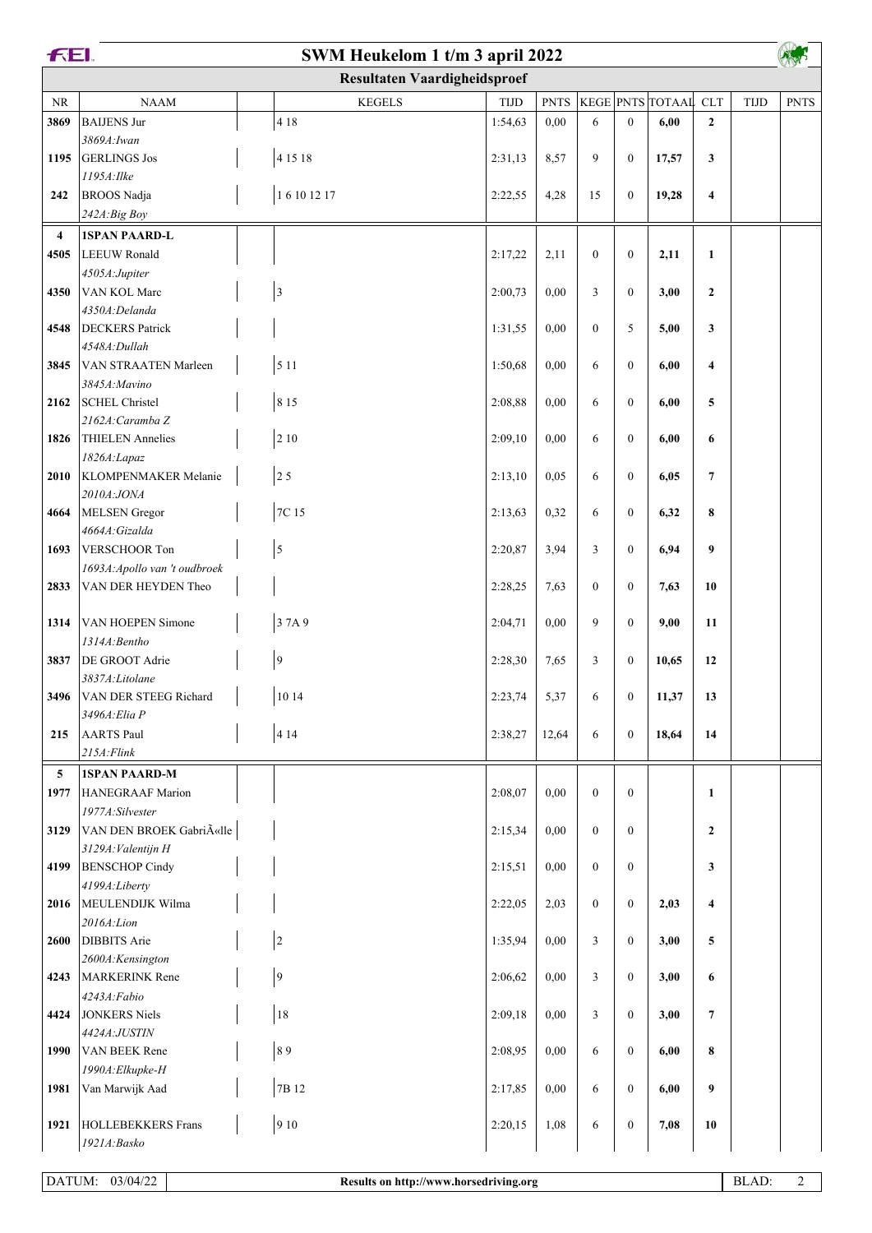| <b>FEI.</b><br>SWM Heukelom 1 t/m 3 april 2022 |                                         |                                     |            |             |                  |                  |                      |                  |             |             |
|------------------------------------------------|-----------------------------------------|-------------------------------------|------------|-------------|------------------|------------------|----------------------|------------------|-------------|-------------|
|                                                |                                         | <b>Resultaten Vaardigheidsproef</b> |            |             |                  |                  |                      |                  |             |             |
| <b>NR</b>                                      | <b>NAAM</b>                             | <b>KEGELS</b>                       | $\tt TIJD$ | <b>PNTS</b> |                  |                  | KEGE PNTS TOTAAL CLT |                  | <b>TIJD</b> | <b>PNTS</b> |
| 3869                                           | <b>BAIJENS Jur</b>                      | 4 1 8                               | 1:54,63    | 0,00        | 6                | $\boldsymbol{0}$ | 6,00                 | $\overline{2}$   |             |             |
|                                                | 3869A: Iwan                             |                                     |            |             |                  |                  |                      |                  |             |             |
| 1195                                           | <b>GERLINGS Jos</b>                     | 4 1 5 1 8                           | 2:31,13    | 8,57        | 9                | $\boldsymbol{0}$ | 17,57                | 3                |             |             |
|                                                | 1195A: Ilke                             |                                     |            |             |                  |                  |                      |                  |             |             |
| 242                                            | <b>BROOS</b> Nadja                      | 16101217                            | 2:22,55    | 4,28        | 15               | $\boldsymbol{0}$ | 19,28                | 4                |             |             |
|                                                | 242A:Big Boy                            |                                     |            |             |                  |                  |                      |                  |             |             |
| $\overline{4}$                                 | <b>1SPAN PAARD-L</b>                    |                                     |            |             |                  |                  |                      |                  |             |             |
| 4505                                           | LEEUW Ronald                            |                                     | 2:17,22    | 2,11        | $\boldsymbol{0}$ | $\mathbf{0}$     | 2,11                 | $\mathbf{1}$     |             |             |
|                                                | 4505A:Jupiter                           |                                     |            |             |                  |                  |                      |                  |             |             |
| 4350                                           | VAN KOL Marc                            | $\sqrt{3}$                          | 2:00,73    | 0,00        | 3                | $\overline{0}$   | 3,00                 | $\boldsymbol{2}$ |             |             |
| 4548                                           | 4350A:Delanda<br><b>DECKERS</b> Patrick |                                     | 1:31,55    | 0,00        | $\mathbf{0}$     | 5                | 5,00                 | 3                |             |             |
|                                                | 4548A: Dullah                           |                                     |            |             |                  |                  |                      |                  |             |             |
| 3845                                           | VAN STRAATEN Marleen                    | 5 1 1                               | 1:50,68    | 0,00        | 6                | $\overline{0}$   | 6,00                 | 4                |             |             |
|                                                | 3845A: Mavino                           |                                     |            |             |                  |                  |                      |                  |             |             |
| 2162                                           | <b>SCHEL Christel</b>                   | 8 1 5                               | 2:08,88    | 0,00        | 6                | $\overline{0}$   | 6,00                 | 5                |             |             |
|                                                | 2162A: Caramba Z                        |                                     |            |             |                  |                  |                      |                  |             |             |
| 1826                                           | <b>THIELEN</b> Annelies                 | $2\;10$                             | 2:09,10    | 0,00        | 6                | $\overline{0}$   | 6,00                 | 6                |             |             |
|                                                | 1826A:Lapaz                             |                                     |            |             |                  |                  |                      |                  |             |             |
| 2010                                           | KLOMPENMAKER Melanie                    | 25                                  | 2:13,10    | 0.05        | 6                | $\overline{0}$   | 6,05                 | $\overline{7}$   |             |             |
|                                                | 2010A:JONA                              |                                     |            |             |                  |                  |                      |                  |             |             |
| 4664                                           | MELSEN Gregor<br>4664A: Gizalda         | 7C 15                               | 2:13,63    | 0,32        | 6                | $\mathbf{0}$     | 6,32                 | 8                |             |             |
| 1693                                           | VERSCHOOR Ton                           | 5                                   | 2:20,87    | 3,94        | 3                | $\mathbf{0}$     | 6,94                 | 9                |             |             |
|                                                | 1693A: Apollo van 't oudbroek           |                                     |            |             |                  |                  |                      |                  |             |             |
| 2833                                           | VAN DER HEYDEN Theo                     |                                     | 2:28,25    | 7,63        | $\mathbf{0}$     | $\overline{0}$   | 7,63                 | 10               |             |             |
|                                                |                                         |                                     |            |             |                  |                  |                      |                  |             |             |
| 1314                                           | VAN HOEPEN Simone                       | 37A9                                | 2:04,71    | 0,00        | 9                | $\mathbf{0}$     | 9,00                 | 11               |             |             |
|                                                | 1314A: Bentho                           |                                     |            |             |                  |                  |                      |                  |             |             |
| 3837                                           | DE GROOT Adrie                          | $\boldsymbol{9}$                    | 2:28,30    | 7,65        | 3                | $\mathbf{0}$     | 10,65                | 12               |             |             |
|                                                | 3837A:Litolane                          |                                     |            |             |                  |                  |                      |                  |             |             |
| 3496                                           | VAN DER STEEG Richard                   | 10 14                               | 2:23,74    | 5,37        | 6                | $\boldsymbol{0}$ | 11,37                | 13               |             |             |
| 215                                            | 3496A: Elia P<br><b>AARTS Paul</b>      | 4 1 4                               | 2:38,27    | 12,64       | 6                | $\boldsymbol{0}$ | 18,64                | 14               |             |             |
|                                                | $215A$ : Flink                          |                                     |            |             |                  |                  |                      |                  |             |             |
| 5 <sup>5</sup>                                 | <b>1SPAN PAARD-M</b>                    |                                     |            |             |                  |                  |                      |                  |             |             |
| 1977                                           | HANEGRAAF Marion                        |                                     | 2:08,07    | 0.00        | $\mathbf{0}$     | $\mathbf{0}$     |                      | $\mathbf{1}$     |             |             |
|                                                | 1977A:Silvester                         |                                     |            |             |                  |                  |                      |                  |             |             |
| 3129                                           | VAN DEN BROEK Gabriëlle                 |                                     | 2:15,34    | 0,00        | $\mathbf{0}$     | $\mathbf{0}$     |                      | $\overline{2}$   |             |             |
|                                                | 3129A: Valentijn H                      |                                     |            |             |                  |                  |                      |                  |             |             |
| 4199                                           | <b>BENSCHOP Cindy</b>                   |                                     | 2:15,51    | 0,00        | $\mathbf{0}$     | $\mathbf{0}$     |                      | 3                |             |             |
|                                                | 4199A:Liberty                           |                                     |            |             |                  |                  |                      |                  |             |             |
| 2016                                           | MEULENDIJK Wilma                        |                                     | 2:22,05    | 2,03        | $\mathbf{0}$     | $\mathbf{0}$     | 2,03                 | 4                |             |             |
|                                                | 2016A: Lion                             |                                     |            |             |                  |                  |                      |                  |             |             |
| 2600                                           | DIBBITS Arie<br>2600A:Kensington        | $\sqrt{2}$                          | 1:35,94    | 0.00        | 3                | $\boldsymbol{0}$ | 3,00                 | 5                |             |             |
| 4243                                           | MARKERINK Rene                          | $\boldsymbol{9}$                    | 2:06,62    | 0,00        | 3                | $\mathbf{0}$     | 3,00                 | 6                |             |             |
|                                                | 4243A:Fabio                             |                                     |            |             |                  |                  |                      |                  |             |             |
| 4424                                           | <b>JONKERS Niels</b>                    | 18                                  | 2:09,18    | 0.00        | 3                | $\mathbf{0}$     | 3,00                 | 7                |             |             |
|                                                | 4424A:JUSTIN                            |                                     |            |             |                  |                  |                      |                  |             |             |
| 1990                                           | VAN BEEK Rene                           | 89                                  | 2:08,95    | 0,00        | 6                | $\mathbf{0}$     | 6,00                 | 8                |             |             |
|                                                | 1990A: Elkupke-H                        |                                     |            |             |                  |                  |                      |                  |             |             |
| 1981                                           | Van Marwijk Aad                         | 7B 12                               | 2:17,85    | 0,00        | 6                | $\mathbf{0}$     | 6,00                 | 9                |             |             |
|                                                |                                         |                                     |            |             |                  |                  |                      |                  |             |             |
| 1921                                           | HOLLEBEKKERS Frans                      | 910                                 | 2:20,15    | 1,08        | 6                | $\boldsymbol{0}$ | 7,08                 | 10               |             |             |
|                                                | 1921A:Basko                             |                                     |            |             |                  |                  |                      |                  |             |             |

 $\sqrt{2}$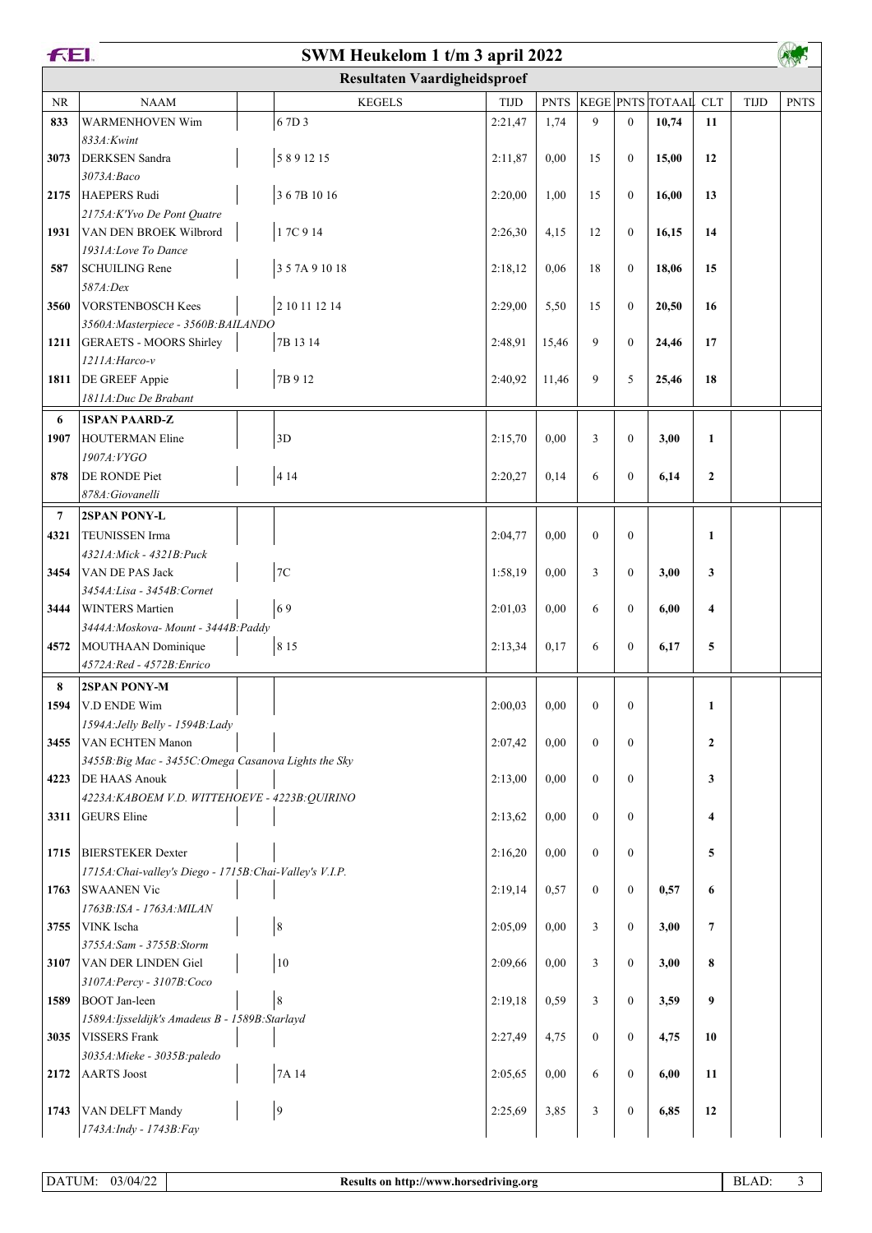| FEI.           |                                                          | SWM Heukelom 1 t/m 3 april 2022     |             |             |                  |                  |                      |                  |             |             |
|----------------|----------------------------------------------------------|-------------------------------------|-------------|-------------|------------------|------------------|----------------------|------------------|-------------|-------------|
|                |                                                          | <b>Resultaten Vaardigheidsproef</b> |             |             |                  |                  |                      |                  |             |             |
| <b>NR</b>      | <b>NAAM</b>                                              | <b>KEGELS</b>                       | <b>TIJD</b> | <b>PNTS</b> |                  |                  | KEGE PNTS TOTAAL CLT |                  | <b>TIJD</b> | <b>PNTS</b> |
| 833            | <b>WARMENHOVEN Wim</b>                                   | 67D3                                | 2:21,47     | 1,74        | 9                | $\mathbf{0}$     | 10,74                | 11               |             |             |
|                | 833A: Kwint                                              |                                     |             |             |                  |                  |                      |                  |             |             |
| 3073           | <b>DERKSEN</b> Sandra                                    | 5891215                             | 2:11,87     | 0,00        | 15               | $\mathbf{0}$     | 15,00                | 12               |             |             |
|                | 3073A:Baco                                               |                                     |             |             |                  |                  |                      |                  |             |             |
|                | 2175 HAEPERS Rudi                                        | 367B 1016                           | 2:20,00     | 1,00        | 15               | $\mathbf{0}$     | 16,00                | 13               |             |             |
|                | 2175A: K'Yvo De Pont Quatre                              | 17C 914                             |             |             |                  |                  |                      |                  |             |             |
| 1931           | VAN DEN BROEK Wilbrord<br>1931A:Love To Dance            |                                     | 2:26,30     | 4,15        | 12               | $\mathbf{0}$     | 16,15                | 14               |             |             |
| 587            | <b>SCHUILING Rene</b>                                    | 357A91018                           | 2:18,12     | 0,06        | 18               | $\mathbf{0}$     | 18,06                | 15               |             |             |
|                | 587A:Dex                                                 |                                     |             |             |                  |                  |                      |                  |             |             |
| 3560           | <b>VORSTENBOSCH Kees</b>                                 | 2 10 11 12 14                       | 2:29,00     | 5,50        | 15               | $\mathbf{0}$     | 20,50                | 16               |             |             |
|                | 3560A: Masterpiece - 3560B: BAILANDO                     |                                     |             |             |                  |                  |                      |                  |             |             |
| 1211           | GERAETS - MOORS Shirley                                  | 7B 13 14                            | 2:48,91     | 15,46       | 9                | $\mathbf{0}$     | 24,46                | 17               |             |             |
|                | 1211A: Harco-v                                           |                                     |             |             |                  |                  |                      |                  |             |             |
| 1811           | DE GREEF Appie                                           | 7B 9 12                             | 2:40,92     | 11,46       | 9                | 5                | 25,46                | 18               |             |             |
|                | 1811A: Duc De Brabant                                    |                                     |             |             |                  |                  |                      |                  |             |             |
| 6              | <b>1SPAN PAARD-Z</b>                                     |                                     |             |             |                  |                  |                      |                  |             |             |
| 1907           | <b>HOUTERMAN Eline</b>                                   | 3D                                  | 2:15,70     | 0,00        | 3                | $\mathbf{0}$     | 3,00                 | 1                |             |             |
|                | 1907A: VYGO                                              |                                     |             |             |                  |                  |                      |                  |             |             |
| 878            | DE RONDE Piet                                            | 4 1 4                               | 2:20,27     | 0,14        | 6                | $\mathbf{0}$     | 6,14                 | $\overline{2}$   |             |             |
|                | 878A: Giovanelli                                         |                                     |             |             |                  |                  |                      |                  |             |             |
| $\overline{7}$ | 2SPAN PONY-L                                             |                                     |             |             |                  |                  |                      |                  |             |             |
| 4321           | TEUNISSEN Irma                                           |                                     | 2:04,77     | 0,00        | $\mathbf{0}$     | $\mathbf{0}$     |                      | $\mathbf{1}$     |             |             |
|                | 4321A: Mick - 4321B: Puck<br>VAN DE PAS Jack             | $7\mathrm{C}$                       |             |             |                  |                  |                      |                  |             |             |
| 3454           | 3454A: Lisa - 3454B: Cornet                              |                                     | 1:58,19     | 0,00        | 3                | $\mathbf{0}$     | 3,00                 | 3                |             |             |
| 3444           | <b>WINTERS Martien</b>                                   | 69                                  | 2:01,03     | 0,00        | 6                | $\mathbf{0}$     | 6,00                 | 4                |             |             |
|                | 3444A: Moskova- Mount - 3444B: Paddy                     |                                     |             |             |                  |                  |                      |                  |             |             |
|                | 4572   MOUTHAAN Dominique                                | 8 1 5                               | 2:13,34     | 0,17        | 6                | $\mathbf{0}$     | 6,17                 | 5                |             |             |
|                | 4572A:Red - 4572B:Enrico                                 |                                     |             |             |                  |                  |                      |                  |             |             |
| 8              | 2SPAN PONY-M                                             |                                     |             |             |                  |                  |                      |                  |             |             |
| 1594           | V.D ENDE Wim                                             |                                     | 2:00,03     | 0,00        | $\boldsymbol{0}$ | $\boldsymbol{0}$ |                      | 1                |             |             |
|                | 1594A: Jelly Belly - 1594B: Lady                         |                                     |             |             |                  |                  |                      |                  |             |             |
| 3455           | VAN ECHTEN Manon                                         |                                     | 2:07,42     | 0,00        | $\mathbf{0}$     | $\mathbf{0}$     |                      | $\boldsymbol{2}$ |             |             |
|                | 3455B: Big Mac - 3455C: Omega Casanova Lights the Sky    |                                     |             |             |                  |                  |                      |                  |             |             |
| 4223           | <b>DE HAAS Anouk</b>                                     |                                     | 2:13,00     | 0,00        | $\mathbf{0}$     | $\boldsymbol{0}$ |                      | 3                |             |             |
|                | 4223A: KABOEM V.D. WITTEHOEVE - 4223B: QUIRINO           |                                     |             |             |                  |                  |                      |                  |             |             |
| 3311           | <b>GEURS</b> Eline                                       |                                     | 2:13,62     | 0,00        | $\mathbf{0}$     | $\mathbf{0}$     |                      | 4                |             |             |
| 1715           | <b>BIERSTEKER Dexter</b>                                 |                                     | 2:16,20     | 0,00        | $\mathbf{0}$     | $\mathbf{0}$     |                      | 5                |             |             |
|                | 1715A: Chai-valley's Diego - 1715B: Chai-Valley's V.I.P. |                                     |             |             |                  |                  |                      |                  |             |             |
| 1763           | <b>SWAANEN Vic</b>                                       |                                     | 2:19,14     | 0,57        | $\boldsymbol{0}$ | $\boldsymbol{0}$ | 0,57                 | 6                |             |             |
|                | 1763B: ISA - 1763A: MILAN                                |                                     |             |             |                  |                  |                      |                  |             |             |
| 3755           | VINK Ischa                                               | $\,$ 8 $\,$                         | 2:05,09     | 0,00        | 3                | $\mathbf{0}$     | 3,00                 | 7                |             |             |
|                | 3755A: Sam - 3755B: Storm                                |                                     |             |             |                  |                  |                      |                  |             |             |
| 3107           | VAN DER LINDEN Giel                                      | 10                                  | 2:09,66     | 0,00        | 3                | $\boldsymbol{0}$ | 3,00                 | 8                |             |             |
|                | 3107A: Percy - 3107B: Coco                               |                                     |             |             |                  |                  |                      |                  |             |             |
| 1589           | <b>BOOT</b> Jan-leen                                     | $\,$ 8 $\,$                         | 2:19,18     | 0,59        | 3                | $\boldsymbol{0}$ | 3,59                 | 9                |             |             |
|                | 1589A: Ijsseldijk's Amadeus B - 1589B: Starlayd          |                                     |             |             |                  |                  |                      |                  |             |             |
| 3035           | <b>VISSERS</b> Frank                                     |                                     | 2:27,49     | 4,75        | $\mathbf{0}$     | $\boldsymbol{0}$ | 4,75                 | 10               |             |             |
|                | 3035A: Mieke - 3035B: paledo                             |                                     |             |             |                  |                  |                      |                  |             |             |
| 2172           | <b>AARTS</b> Joost                                       | 7A 14                               | 2:05,65     | 0,00        | 6                | $\boldsymbol{0}$ | 6,00                 | 11               |             |             |
| 1743           | VAN DELFT Mandy                                          | $\boldsymbol{9}$                    | 2:25,69     | 3,85        | 3                | $\boldsymbol{0}$ | 6,85                 | 12               |             |             |
|                | 1743A: Indy - 1743B: Fay                                 |                                     |             |             |                  |                  |                      |                  |             |             |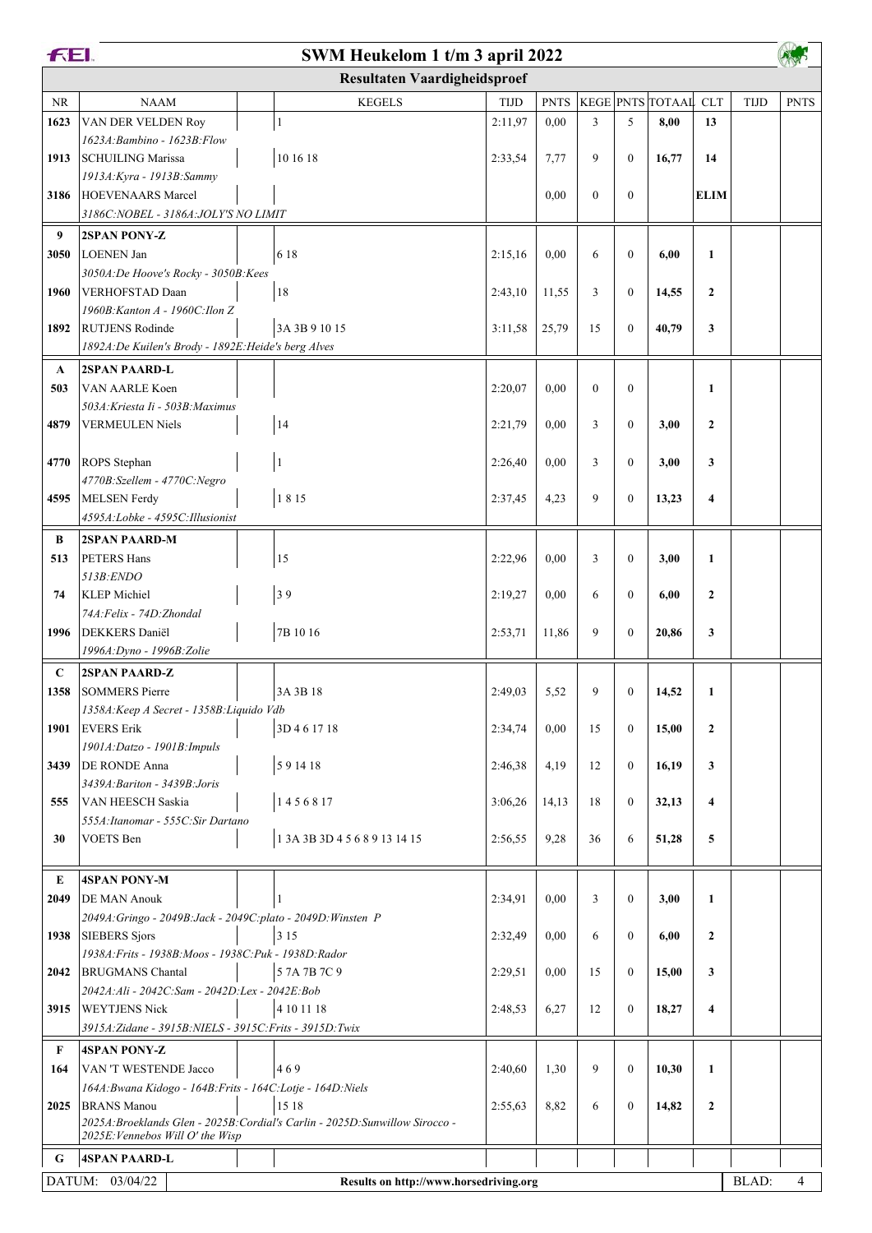|                                                           | <b>FEI.</b><br>SWM Heukelom 1 t/m 3 april 2022                                 |                                                                               |             |             |                |                  |                      |                         |             |             |
|-----------------------------------------------------------|--------------------------------------------------------------------------------|-------------------------------------------------------------------------------|-------------|-------------|----------------|------------------|----------------------|-------------------------|-------------|-------------|
|                                                           |                                                                                | <b>Resultaten Vaardigheidsproef</b>                                           |             |             |                |                  |                      |                         |             |             |
| $\rm NR$                                                  | <b>NAAM</b>                                                                    | <b>KEGELS</b>                                                                 | <b>TIJD</b> | <b>PNTS</b> |                |                  | KEGE PNTS TOTAAL CLT |                         | <b>TIJD</b> | <b>PNTS</b> |
| 1623                                                      | VAN DER VELDEN Roy                                                             | $\mathbf{1}$                                                                  | 2:11,97     | 0,00        | 3              | 5                | 8,00                 | 13                      |             |             |
|                                                           | 1623A: Bambino - 1623B: Flow                                                   |                                                                               |             |             |                |                  |                      |                         |             |             |
| 1913                                                      | <b>SCHUILING Marissa</b>                                                       | 10 16 18                                                                      | 2:33,54     | 7,77        | 9              | $\mathbf{0}$     | 16,77                | 14                      |             |             |
|                                                           | 1913A: Kyra - 1913B: Sammy                                                     |                                                                               |             |             |                |                  |                      |                         |             |             |
| 3186                                                      | HOEVENAARS Marcel                                                              |                                                                               |             | 0,00        | $\mathbf{0}$   | $\mathbf{0}$     |                      | <b>ELIM</b>             |             |             |
|                                                           | 3186C: NOBEL - 3186A: JOLY'S NO LIMIT                                          |                                                                               |             |             |                |                  |                      |                         |             |             |
| 9                                                         | <b>2SPAN PONY-Z</b>                                                            |                                                                               |             |             |                |                  |                      |                         |             |             |
| 3050                                                      | LOENEN Jan                                                                     | 6 1 8                                                                         | 2:15,16     | 0,00        | 6              | $\mathbf{0}$     | 6,00                 | $\mathbf{1}$            |             |             |
|                                                           | 3050A:De Hoove's Rocky - 3050B:Kees                                            |                                                                               |             |             |                |                  |                      |                         |             |             |
| 1960                                                      | VERHOFSTAD Daan                                                                | 18                                                                            | 2:43,10     | 11,55       | 3              | $\boldsymbol{0}$ | 14,55                | $\mathbf{2}$            |             |             |
|                                                           | 1960B: Kanton A - 1960C: Ilon Z                                                |                                                                               |             |             |                |                  |                      |                         |             |             |
| 1892                                                      | <b>RUTJENS Rodinde</b>                                                         | 3A 3B 9 10 15                                                                 | 3:11,58     | 25,79       | 15             | $\mathbf{0}$     | 40,79                | 3                       |             |             |
|                                                           | 1892A: De Kuilen's Brody - 1892E: Heide's berg Alves                           |                                                                               |             |             |                |                  |                      |                         |             |             |
| $\mathbf{A}$                                              | <b>2SPAN PAARD-L</b>                                                           |                                                                               |             |             |                |                  |                      |                         |             |             |
| 503                                                       | VAN AARLE Koen                                                                 |                                                                               | 2:20,07     | 0,00        | $\overline{0}$ | $\mathbf{0}$     |                      | $\mathbf{1}$            |             |             |
|                                                           | 503A: Kriesta Ii - 503B: Maximus                                               |                                                                               |             |             |                |                  |                      |                         |             |             |
| 4879                                                      | <b>VERMEULEN Niels</b>                                                         | 14                                                                            | 2:21,79     | 0,00        | 3              | $\mathbf{0}$     | 3,00                 | $\mathbf{2}$            |             |             |
|                                                           | <b>ROPS</b> Stephan                                                            |                                                                               | 2:26,40     | 0,00        | 3              | $\mathbf{0}$     | 3,00                 | 3                       |             |             |
| 4770                                                      | 4770B:Szellem - 4770C:Negro                                                    | $\vert$                                                                       |             |             |                |                  |                      |                         |             |             |
| 4595                                                      | MELSEN Ferdy                                                                   | 1815                                                                          | 2:37,45     | 4,23        | 9              | $\mathbf{0}$     | 13,23                | 4                       |             |             |
|                                                           | 4595A:Lobke - 4595C:Illusionist                                                |                                                                               |             |             |                |                  |                      |                         |             |             |
| B                                                         | <b>2SPAN PAARD-M</b>                                                           |                                                                               |             |             |                |                  |                      |                         |             |             |
| 513                                                       | PETERS Hans                                                                    | 15                                                                            | 2:22,96     | 0,00        | 3              | $\mathbf{0}$     | 3,00                 | $\mathbf{1}$            |             |             |
|                                                           | $513B$ : ENDO                                                                  |                                                                               |             |             |                |                  |                      |                         |             |             |
| 74                                                        | <b>KLEP</b> Michiel                                                            | 39                                                                            | 2:19,27     | 0,00        | 6              | $\mathbf{0}$     | 6,00                 | $\mathbf{2}$            |             |             |
|                                                           | 74A: Felix - 74D: Zhondal                                                      |                                                                               |             |             |                |                  |                      |                         |             |             |
| 1996                                                      | <b>DEKKERS</b> Daniël                                                          | 7B 10 16                                                                      | 2:53,71     | 11,86       | 9              | $\mathbf{0}$     | 20,86                | 3                       |             |             |
|                                                           | 1996A: Dyno - 1996B: Zolie                                                     |                                                                               |             |             |                |                  |                      |                         |             |             |
| $\mathbf C$                                               | <b>2SPAN PAARD-Z</b>                                                           |                                                                               |             |             |                |                  |                      |                         |             |             |
| 1358                                                      | <b>SOMMERS Pierre</b>                                                          | 3A 3B 18                                                                      | 2:49.03     | 5,52        | 9              | $\boldsymbol{0}$ | 14,52                | $\mathbf{1}$            |             |             |
|                                                           | 1358A: Keep A Secret - 1358B: Liquido Vdb                                      |                                                                               |             |             |                |                  |                      |                         |             |             |
| 1901                                                      | <b>EVERS</b> Erik                                                              | 3D 4 6 17 18                                                                  | 2:34,74     | 0,00        | 15             | $\mathbf{0}$     | 15,00                | $\mathbf{2}$            |             |             |
|                                                           | 1901A: Datzo - 1901B: Impuls                                                   |                                                                               |             |             |                |                  |                      |                         |             |             |
| 3439                                                      | <b>DE RONDE Anna</b>                                                           | 591418                                                                        | 2:46,38     | 4,19        | 12             | $\mathbf{0}$     | 16,19                | 3                       |             |             |
|                                                           | 3439A: Bariton - 3439B: Joris                                                  |                                                                               |             |             |                |                  |                      |                         |             |             |
| 555                                                       | VAN HEESCH Saskia                                                              | 1456817                                                                       | 3:06,26     | 14,13       | 18             | $\mathbf{0}$     | 32,13                | $\overline{\mathbf{4}}$ |             |             |
|                                                           | 555A: Itanomar - 555C: Sir Dartano                                             |                                                                               |             |             |                |                  |                      |                         |             |             |
| 30                                                        | <b>VOETS</b> Ben                                                               | 1 3A 3B 3D 4 5 6 8 9 13 14 15                                                 | 2:56,55     | 9,28        | 36             | 6                | 51,28                | 5                       |             |             |
|                                                           |                                                                                |                                                                               |             |             |                |                  |                      |                         |             |             |
| E                                                         | <b>4SPAN PONY-M</b>                                                            |                                                                               |             |             |                |                  |                      |                         |             |             |
| 2049                                                      | <b>DE MAN Anouk</b>                                                            |                                                                               | 2:34,91     | 0,00        | 3              | $\mathbf{0}$     | 3,00                 | $\mathbf{1}$            |             |             |
|                                                           | 2049A: Gringo - 2049B: Jack - 2049C: plato - 2049D: Winsten P<br>SIEBERS Sjors | 3 1 5                                                                         |             |             |                | $\boldsymbol{0}$ |                      | $\mathbf{2}$            |             |             |
| 1938                                                      | 1938A: Frits - 1938B: Moos - 1938C: Puk - 1938D: Rador                         |                                                                               | 2:32,49     | 0,00        | 6              |                  | 6,00                 |                         |             |             |
| 2042                                                      | <b>BRUGMANS</b> Chantal                                                        | 5 7A 7B 7C 9                                                                  | 2:29,51     | 0,00        | 15             | $\mathbf{0}$     | 15,00                | 3                       |             |             |
|                                                           | 2042A:Ali - 2042C:Sam - 2042D:Lex - 2042E:Bob                                  |                                                                               |             |             |                |                  |                      |                         |             |             |
| 3915                                                      | <b>WEYTJENS Nick</b>                                                           | 4 10 11 18                                                                    | 2:48,53     | 6,27        | 12             | $\mathbf{0}$     | 18,27                | $\overline{\mathbf{4}}$ |             |             |
|                                                           | 3915A: Zidane - 3915B: NIELS - 3915C: Frits - 3915D: Twix                      |                                                                               |             |             |                |                  |                      |                         |             |             |
| F                                                         | <b>4SPAN PONY-Z</b>                                                            |                                                                               |             |             |                |                  |                      |                         |             |             |
| 164                                                       | VAN 'T WESTENDE Jacco                                                          | 469                                                                           | 2:40,60     | 1,30        | 9              | $\mathbf{0}$     | 10,30                | $\mathbf{1}$            |             |             |
|                                                           | 164A: Bwana Kidogo - 164B: Frits - 164C: Lotje - 164D: Niels                   |                                                                               |             |             |                |                  |                      |                         |             |             |
| 2025                                                      | <b>BRANS Manou</b>                                                             | 15 18                                                                         | 2:55,63     | 8,82        | 6              | $\mathbf{0}$     | 14,82                | $\mathbf{2}$            |             |             |
|                                                           |                                                                                | 2025A: Broeklands Glen - 2025B: Cordial's Carlin - 2025D: Sunwillow Sirocco - |             |             |                |                  |                      |                         |             |             |
|                                                           | 2025E: Vennebos Will O' the Wisp                                               |                                                                               |             |             |                |                  |                      |                         |             |             |
| G                                                         | <b>4SPAN PAARD-L</b>                                                           |                                                                               |             |             |                |                  |                      |                         |             |             |
| DATUM: 03/04/22<br>Results on http://www.horsedriving.org |                                                                                |                                                                               |             |             |                |                  |                      |                         | BLAD:       | 4           |